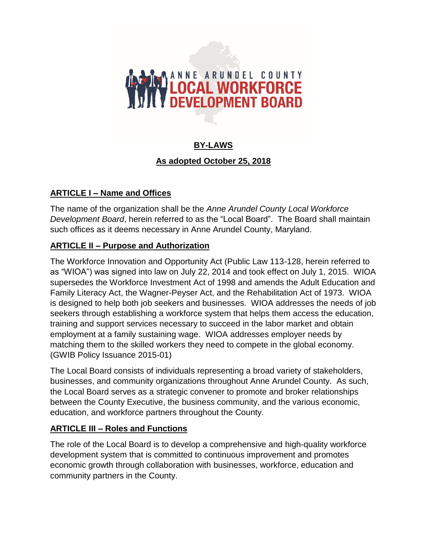# **AND ANNE ARUNDEL COUNTY**

# **BY-LAWS**

#### **As adopted October 25, 2018**

## **ARTICLE I – Name and Offices**

The name of the organization shall be the *Anne Arundel County Local Workforce Development Board*, herein referred to as the "Local Board". The Board shall maintain such offices as it deems necessary in Anne Arundel County, Maryland.

#### **ARTICLE II – Purpose and Authorization**

The Workforce Innovation and Opportunity Act (Public Law 113-128, herein referred to as "WIOA") was signed into law on July 22, 2014 and took effect on July 1, 2015. WIOA supersedes the Workforce Investment Act of 1998 and amends the Adult Education and Family Literacy Act, the Wagner-Peyser Act, and the Rehabilitation Act of 1973. WIOA is designed to help both job seekers and businesses. WIOA addresses the needs of job seekers through establishing a workforce system that helps them access the education, training and support services necessary to succeed in the labor market and obtain employment at a family sustaining wage. WIOA addresses employer needs by matching them to the skilled workers they need to compete in the global economy. (GWIB Policy Issuance 2015-01)

The Local Board consists of individuals representing a broad variety of stakeholders, businesses, and community organizations throughout Anne Arundel County. As such, the Local Board serves as a strategic convener to promote and broker relationships between the County Executive, the business community, and the various economic, education, and workforce partners throughout the County.

## **ARTICLE III – Roles and Functions**

The role of the Local Board is to develop a comprehensive and high-quality workforce development system that is committed to continuous improvement and promotes economic growth through collaboration with businesses, workforce, education and community partners in the County.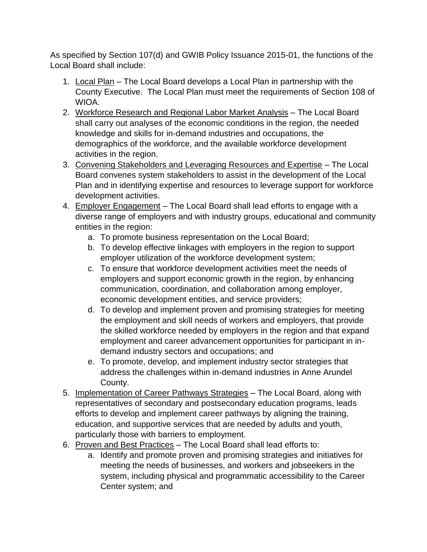As specified by Section 107(d) and GWIB Policy Issuance 2015-01, the functions of the Local Board shall include:

- 1. Local Plan The Local Board develops a Local Plan in partnership with the County Executive. The Local Plan must meet the requirements of Section 108 of WIOA.
- 2. Workforce Research and Regional Labor Market Analysis The Local Board shall carry out analyses of the economic conditions in the region, the needed knowledge and skills for in-demand industries and occupations, the demographics of the workforce, and the available workforce development activities in the region.
- 3. Convening Stakeholders and Leveraging Resources and Expertise The Local Board convenes system stakeholders to assist in the development of the Local Plan and in identifying expertise and resources to leverage support for workforce development activities.
- 4. Employer Engagement The Local Board shall lead efforts to engage with a diverse range of employers and with industry groups, educational and community entities in the region:
	- a. To promote business representation on the Local Board;
	- b. To develop effective linkages with employers in the region to support employer utilization of the workforce development system;
	- c. To ensure that workforce development activities meet the needs of employers and support economic growth in the region, by enhancing communication, coordination, and collaboration among employer, economic development entities, and service providers;
	- d. To develop and implement proven and promising strategies for meeting the employment and skill needs of workers and employers, that provide the skilled workforce needed by employers in the region and that expand employment and career advancement opportunities for participant in indemand industry sectors and occupations; and
	- e. To promote, develop, and implement industry sector strategies that address the challenges within in-demand industries in Anne Arundel County.
- 5. Implementation of Career Pathways Strategies The Local Board, along with representatives of secondary and postsecondary education programs, leads efforts to develop and implement career pathways by aligning the training, education, and supportive services that are needed by adults and youth, particularly those with barriers to employment.
- 6. Proven and Best Practices The Local Board shall lead efforts to:
	- a. Identify and promote proven and promising strategies and initiatives for meeting the needs of businesses, and workers and jobseekers in the system, including physical and programmatic accessibility to the Career Center system; and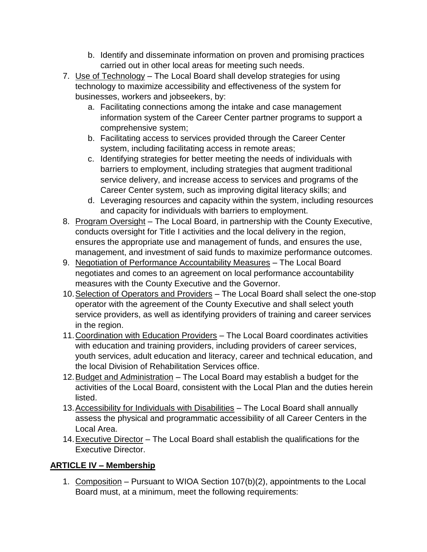- b. Identify and disseminate information on proven and promising practices carried out in other local areas for meeting such needs.
- 7. Use of Technology The Local Board shall develop strategies for using technology to maximize accessibility and effectiveness of the system for businesses, workers and jobseekers, by:
	- a. Facilitating connections among the intake and case management information system of the Career Center partner programs to support a comprehensive system;
	- b. Facilitating access to services provided through the Career Center system, including facilitating access in remote areas;
	- c. Identifying strategies for better meeting the needs of individuals with barriers to employment, including strategies that augment traditional service delivery, and increase access to services and programs of the Career Center system, such as improving digital literacy skills; and
	- d. Leveraging resources and capacity within the system, including resources and capacity for individuals with barriers to employment.
- 8. Program Oversight The Local Board, in partnership with the County Executive, conducts oversight for Title I activities and the local delivery in the region, ensures the appropriate use and management of funds, and ensures the use, management, and investment of said funds to maximize performance outcomes.
- 9. Negotiation of Performance Accountability Measures The Local Board negotiates and comes to an agreement on local performance accountability measures with the County Executive and the Governor.
- 10.Selection of Operators and Providers The Local Board shall select the one-stop operator with the agreement of the County Executive and shall select youth service providers, as well as identifying providers of training and career services in the region.
- 11.Coordination with Education Providers The Local Board coordinates activities with education and training providers, including providers of career services, youth services, adult education and literacy, career and technical education, and the local Division of Rehabilitation Services office.
- 12.Budget and Administration The Local Board may establish a budget for the activities of the Local Board, consistent with the Local Plan and the duties herein listed.
- 13.Accessibility for Individuals with Disabilities The Local Board shall annually assess the physical and programmatic accessibility of all Career Centers in the Local Area.
- 14. Executive Director The Local Board shall establish the qualifications for the Executive Director.

# **ARTICLE IV – Membership**

1. Composition – Pursuant to WIOA Section 107(b)(2), appointments to the Local Board must, at a minimum, meet the following requirements: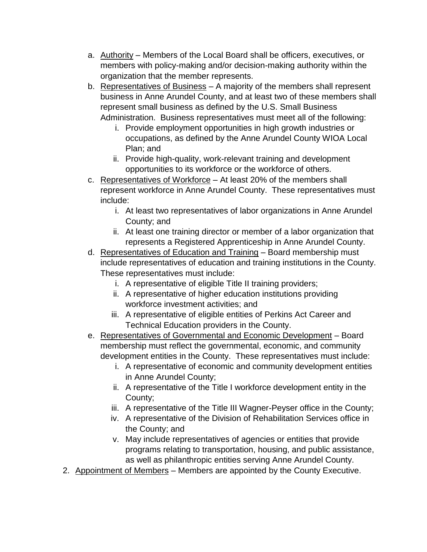- a. Authority Members of the Local Board shall be officers, executives, or members with policy-making and/or decision-making authority within the organization that the member represents.
- b. Representatives of Business A majority of the members shall represent business in Anne Arundel County, and at least two of these members shall represent small business as defined by the U.S. Small Business Administration. Business representatives must meet all of the following:
	- i. Provide employment opportunities in high growth industries or occupations, as defined by the Anne Arundel County WIOA Local Plan; and
	- ii. Provide high-quality, work-relevant training and development opportunities to its workforce or the workforce of others.
- c. Representatives of Workforce At least 20% of the members shall represent workforce in Anne Arundel County. These representatives must include:
	- i. At least two representatives of labor organizations in Anne Arundel County; and
	- ii. At least one training director or member of a labor organization that represents a Registered Apprenticeship in Anne Arundel County.
- d. Representatives of Education and Training Board membership must include representatives of education and training institutions in the County. These representatives must include:
	- i. A representative of eligible Title II training providers;
	- ii. A representative of higher education institutions providing workforce investment activities; and
	- iii. A representative of eligible entities of Perkins Act Career and Technical Education providers in the County.
- e. Representatives of Governmental and Economic Development Board membership must reflect the governmental, economic, and community development entities in the County. These representatives must include:
	- i. A representative of economic and community development entities in Anne Arundel County;
	- ii. A representative of the Title I workforce development entity in the County;
	- iii. A representative of the Title III Wagner-Peyser office in the County;
	- iv. A representative of the Division of Rehabilitation Services office in the County; and
	- v. May include representatives of agencies or entities that provide programs relating to transportation, housing, and public assistance, as well as philanthropic entities serving Anne Arundel County.
- 2. Appointment of Members Members are appointed by the County Executive.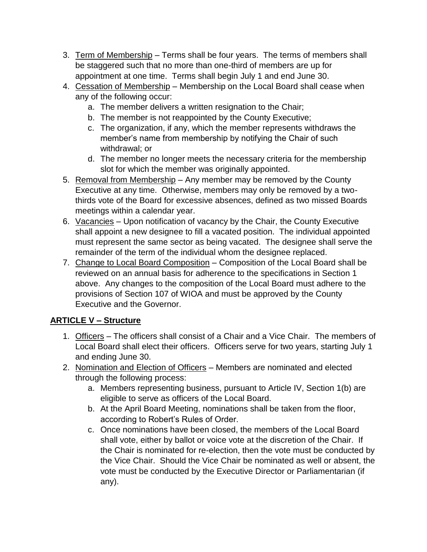- 3. Term of Membership Terms shall be four years. The terms of members shall be staggered such that no more than one-third of members are up for appointment at one time. Terms shall begin July 1 and end June 30.
- 4. Cessation of Membership Membership on the Local Board shall cease when any of the following occur:
	- a. The member delivers a written resignation to the Chair;
	- b. The member is not reappointed by the County Executive;
	- c. The organization, if any, which the member represents withdraws the member's name from membership by notifying the Chair of such withdrawal; or
	- d. The member no longer meets the necessary criteria for the membership slot for which the member was originally appointed.
- 5. Removal from Membership Any member may be removed by the County Executive at any time. Otherwise, members may only be removed by a twothirds vote of the Board for excessive absences, defined as two missed Boards meetings within a calendar year.
- 6. Vacancies Upon notification of vacancy by the Chair, the County Executive shall appoint a new designee to fill a vacated position. The individual appointed must represent the same sector as being vacated. The designee shall serve the remainder of the term of the individual whom the designee replaced.
- 7. Change to Local Board Composition Composition of the Local Board shall be reviewed on an annual basis for adherence to the specifications in Section 1 above. Any changes to the composition of the Local Board must adhere to the provisions of Section 107 of WIOA and must be approved by the County Executive and the Governor.

# **ARTICLE V – Structure**

- 1. Officers The officers shall consist of a Chair and a Vice Chair. The members of Local Board shall elect their officers. Officers serve for two years, starting July 1 and ending June 30.
- 2. Nomination and Election of Officers Members are nominated and elected through the following process:
	- a. Members representing business, pursuant to Article IV, Section 1(b) are eligible to serve as officers of the Local Board.
	- b. At the April Board Meeting, nominations shall be taken from the floor, according to Robert's Rules of Order.
	- c. Once nominations have been closed, the members of the Local Board shall vote, either by ballot or voice vote at the discretion of the Chair. If the Chair is nominated for re-election, then the vote must be conducted by the Vice Chair. Should the Vice Chair be nominated as well or absent, the vote must be conducted by the Executive Director or Parliamentarian (if any).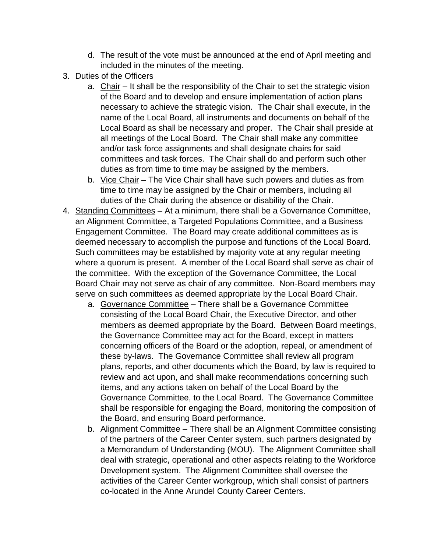- d. The result of the vote must be announced at the end of April meeting and included in the minutes of the meeting.
- 3. Duties of the Officers
	- a. Chair It shall be the responsibility of the Chair to set the strategic vision of the Board and to develop and ensure implementation of action plans necessary to achieve the strategic vision. The Chair shall execute, in the name of the Local Board, all instruments and documents on behalf of the Local Board as shall be necessary and proper. The Chair shall preside at all meetings of the Local Board. The Chair shall make any committee and/or task force assignments and shall designate chairs for said committees and task forces. The Chair shall do and perform such other duties as from time to time may be assigned by the members.
	- b. Vice Chair The Vice Chair shall have such powers and duties as from time to time may be assigned by the Chair or members, including all duties of the Chair during the absence or disability of the Chair.
- 4. Standing Committees At a minimum, there shall be a Governance Committee, an Alignment Committee, a Targeted Populations Committee, and a Business Engagement Committee. The Board may create additional committees as is deemed necessary to accomplish the purpose and functions of the Local Board. Such committees may be established by majority vote at any regular meeting where a quorum is present. A member of the Local Board shall serve as chair of the committee. With the exception of the Governance Committee, the Local Board Chair may not serve as chair of any committee. Non-Board members may serve on such committees as deemed appropriate by the Local Board Chair.
	- a. Governance Committee There shall be a Governance Committee consisting of the Local Board Chair, the Executive Director, and other members as deemed appropriate by the Board. Between Board meetings, the Governance Committee may act for the Board, except in matters concerning officers of the Board or the adoption, repeal, or amendment of these by-laws. The Governance Committee shall review all program plans, reports, and other documents which the Board, by law is required to review and act upon, and shall make recommendations concerning such items, and any actions taken on behalf of the Local Board by the Governance Committee, to the Local Board. The Governance Committee shall be responsible for engaging the Board, monitoring the composition of the Board, and ensuring Board performance.
	- b. Alignment Committee There shall be an Alignment Committee consisting of the partners of the Career Center system, such partners designated by a Memorandum of Understanding (MOU). The Alignment Committee shall deal with strategic, operational and other aspects relating to the Workforce Development system. The Alignment Committee shall oversee the activities of the Career Center workgroup, which shall consist of partners co-located in the Anne Arundel County Career Centers.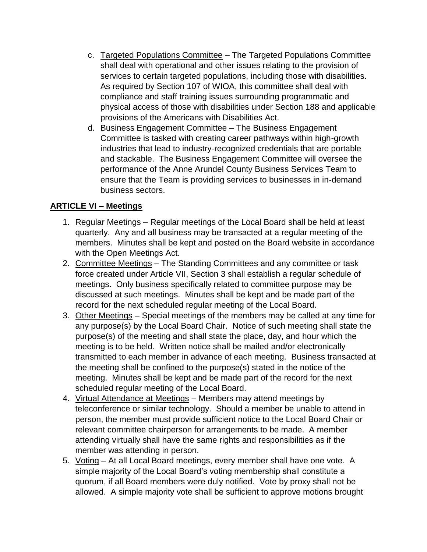- c. Targeted Populations Committee The Targeted Populations Committee shall deal with operational and other issues relating to the provision of services to certain targeted populations, including those with disabilities. As required by Section 107 of WIOA, this committee shall deal with compliance and staff training issues surrounding programmatic and physical access of those with disabilities under Section 188 and applicable provisions of the Americans with Disabilities Act.
- d. Business Engagement Committee The Business Engagement Committee is tasked with creating career pathways within high-growth industries that lead to industry-recognized credentials that are portable and stackable. The Business Engagement Committee will oversee the performance of the Anne Arundel County Business Services Team to ensure that the Team is providing services to businesses in in-demand business sectors.

#### **ARTICLE VI – Meetings**

- 1. Regular Meetings Regular meetings of the Local Board shall be held at least quarterly. Any and all business may be transacted at a regular meeting of the members. Minutes shall be kept and posted on the Board website in accordance with the Open Meetings Act.
- 2. Committee Meetings The Standing Committees and any committee or task force created under Article VII, Section 3 shall establish a regular schedule of meetings. Only business specifically related to committee purpose may be discussed at such meetings. Minutes shall be kept and be made part of the record for the next scheduled regular meeting of the Local Board.
- 3. Other Meetings Special meetings of the members may be called at any time for any purpose(s) by the Local Board Chair. Notice of such meeting shall state the purpose(s) of the meeting and shall state the place, day, and hour which the meeting is to be held. Written notice shall be mailed and/or electronically transmitted to each member in advance of each meeting. Business transacted at the meeting shall be confined to the purpose(s) stated in the notice of the meeting. Minutes shall be kept and be made part of the record for the next scheduled regular meeting of the Local Board.
- 4. Virtual Attendance at Meetings Members may attend meetings by teleconference or similar technology. Should a member be unable to attend in person, the member must provide sufficient notice to the Local Board Chair or relevant committee chairperson for arrangements to be made. A member attending virtually shall have the same rights and responsibilities as if the member was attending in person.
- 5. Voting At all Local Board meetings, every member shall have one vote. A simple majority of the Local Board's voting membership shall constitute a quorum, if all Board members were duly notified. Vote by proxy shall not be allowed. A simple majority vote shall be sufficient to approve motions brought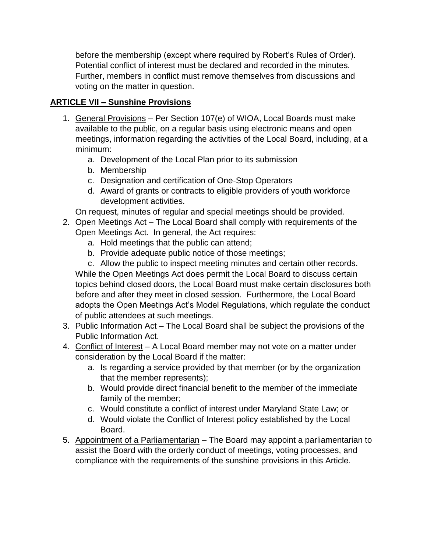before the membership (except where required by Robert's Rules of Order). Potential conflict of interest must be declared and recorded in the minutes. Further, members in conflict must remove themselves from discussions and voting on the matter in question.

## **ARTICLE VII – Sunshine Provisions**

- 1. General Provisions Per Section 107(e) of WIOA, Local Boards must make available to the public, on a regular basis using electronic means and open meetings, information regarding the activities of the Local Board, including, at a minimum:
	- a. Development of the Local Plan prior to its submission
	- b. Membership
	- c. Designation and certification of One-Stop Operators
	- d. Award of grants or contracts to eligible providers of youth workforce development activities.

On request, minutes of regular and special meetings should be provided.

- 2. Open Meetings Act The Local Board shall comply with requirements of the Open Meetings Act. In general, the Act requires:
	- a. Hold meetings that the public can attend;
	- b. Provide adequate public notice of those meetings;

c. Allow the public to inspect meeting minutes and certain other records. While the Open Meetings Act does permit the Local Board to discuss certain topics behind closed doors, the Local Board must make certain disclosures both before and after they meet in closed session. Furthermore, the Local Board adopts the Open Meetings Act's Model Regulations, which regulate the conduct of public attendees at such meetings.

- 3. Public Information Act The Local Board shall be subject the provisions of the Public Information Act.
- 4. Conflict of Interest A Local Board member may not vote on a matter under consideration by the Local Board if the matter:
	- a. Is regarding a service provided by that member (or by the organization that the member represents);
	- b. Would provide direct financial benefit to the member of the immediate family of the member;
	- c. Would constitute a conflict of interest under Maryland State Law; or
	- d. Would violate the Conflict of Interest policy established by the Local Board.
- 5. Appointment of a Parliamentarian The Board may appoint a parliamentarian to assist the Board with the orderly conduct of meetings, voting processes, and compliance with the requirements of the sunshine provisions in this Article.